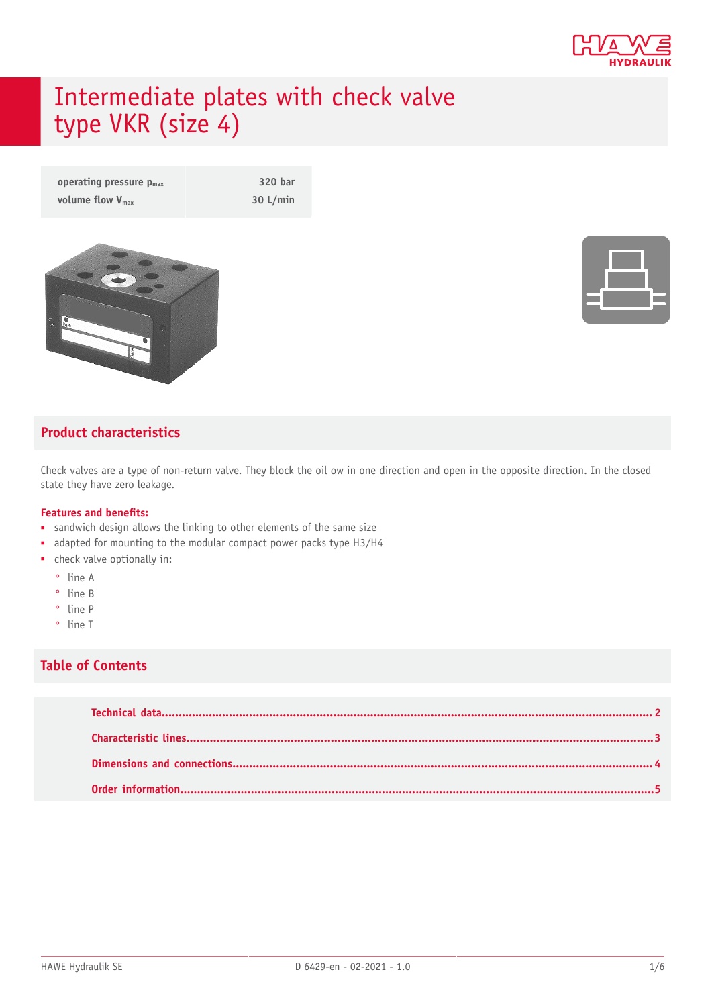

# Intermediate plates with check valve type VKR (size 4)

**operating pressure**  $p_{max}$  **320 bar volume flow**  $V_{\text{max}}$  **30 L/min** 



### **Product characteristics**

Check valves are a type of non-return valve. They block the oil ow in one direction and open in the opposite direction. In the closed state they have zero leakage.

#### **Features and benets:**

- sandwich design allows the linking to other elements of the same size
- adapted for mounting to the modular compact power packs type H3/H4
- check valve optionally in:
	- ° line A
	- ° line B
	- ° line P
	- ° line T

#### **Table of Contents**

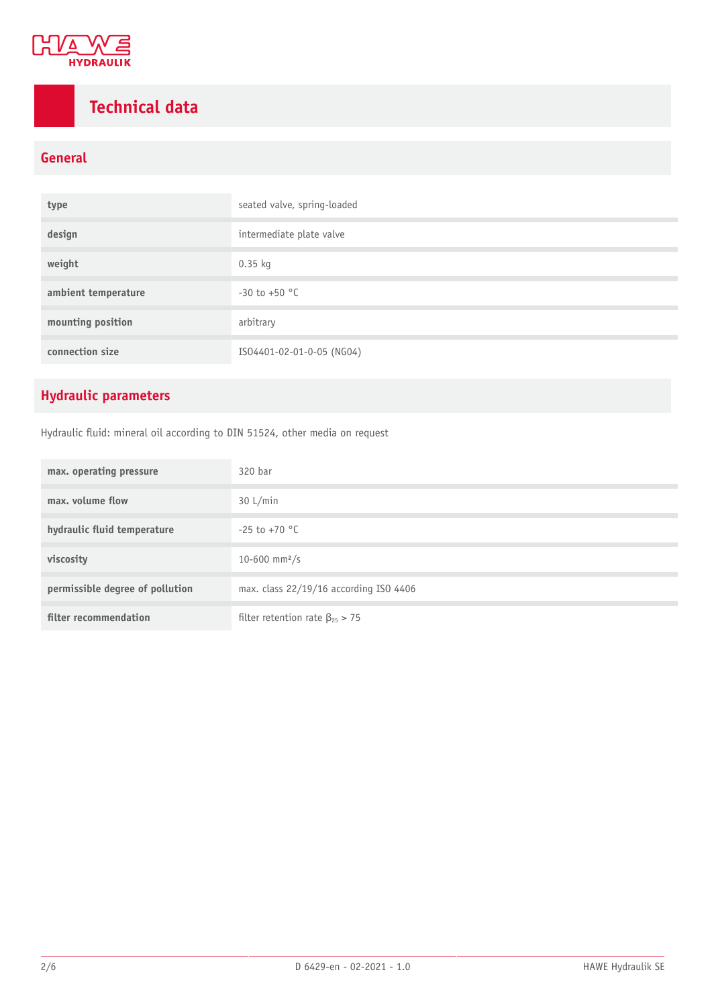

## <span id="page-1-0"></span>**Technical data**

### **General**

| type                | seated valve, spring-loaded |  |  |
|---------------------|-----------------------------|--|--|
| design              | intermediate plate valve    |  |  |
| weight              | $0.35$ kg                   |  |  |
| ambient temperature | $-30$ to $+50$ °C           |  |  |
| mounting position   | arbitrary                   |  |  |
| connection size     | ISO4401-02-01-0-05 (NG04)   |  |  |

### **Hydraulic parameters**

Hydraulic fluid: mineral oil according to DIN 51524, other media on request

| max. operating pressure         | 320 bar                                 |
|---------------------------------|-----------------------------------------|
| max. volume flow                | 30 L/min                                |
| hydraulic fluid temperature     | $-25$ to $+70$ °C                       |
| viscosity                       | 10-600 mm <sup>2</sup> /s               |
| permissible degree of pollution | max. class 22/19/16 according ISO 4406  |
| filter recommendation           | filter retention rate $\beta_{25} > 75$ |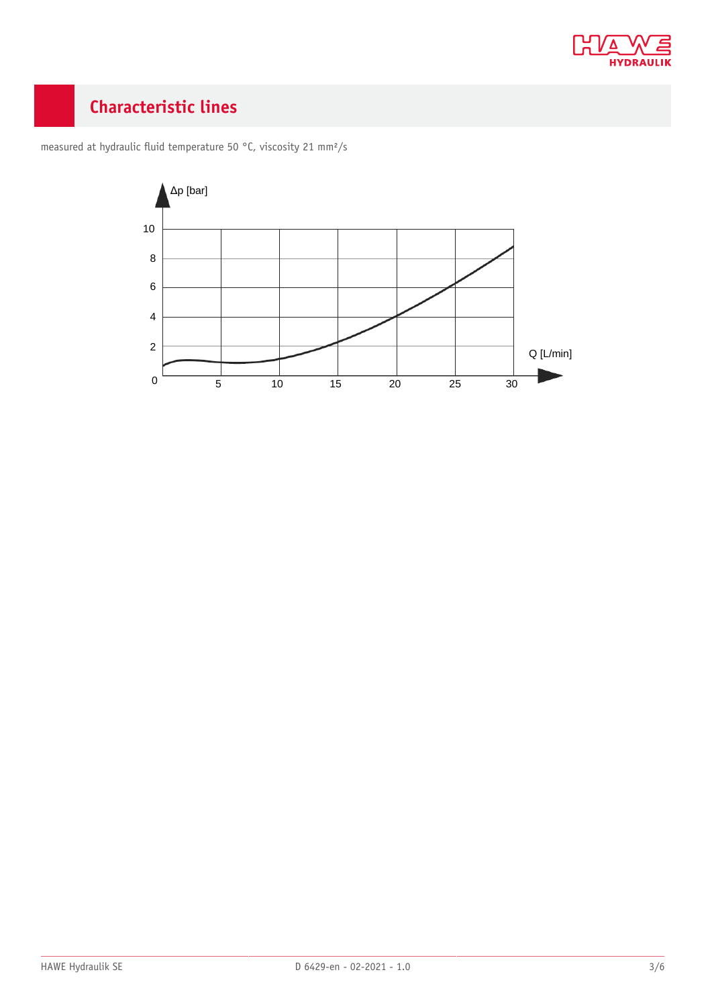

## <span id="page-2-0"></span>**Characteristic lines**



measured at hydraulic fluid temperature 50 °C, viscosity 21 mm<sup>2</sup>/s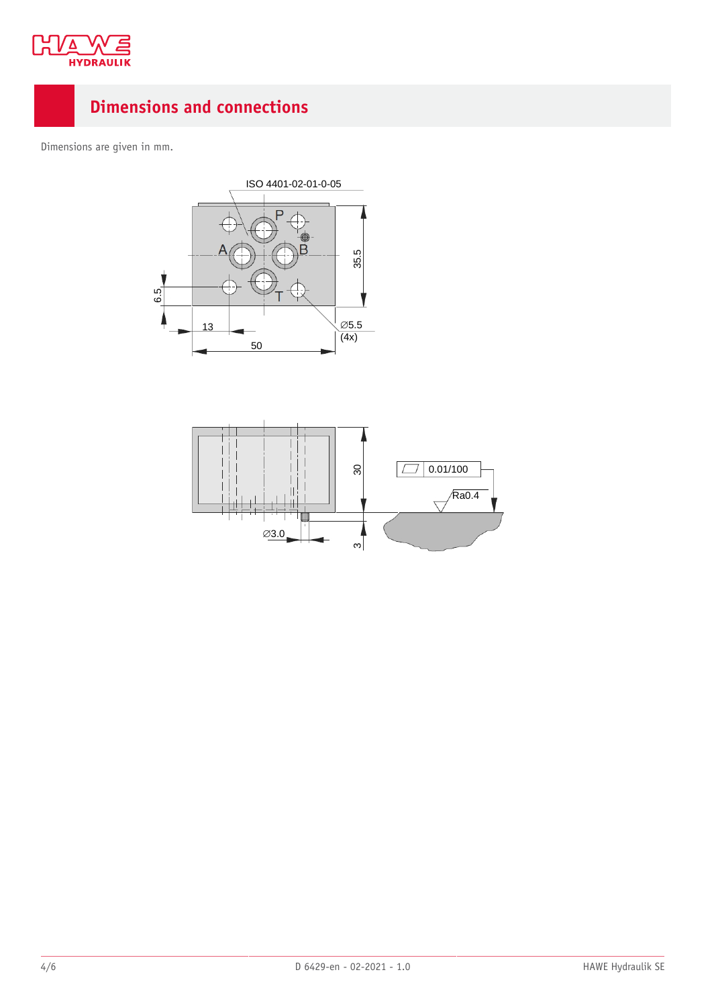

## <span id="page-3-0"></span>**Dimensions and connections**

Dimensions are given in mm.



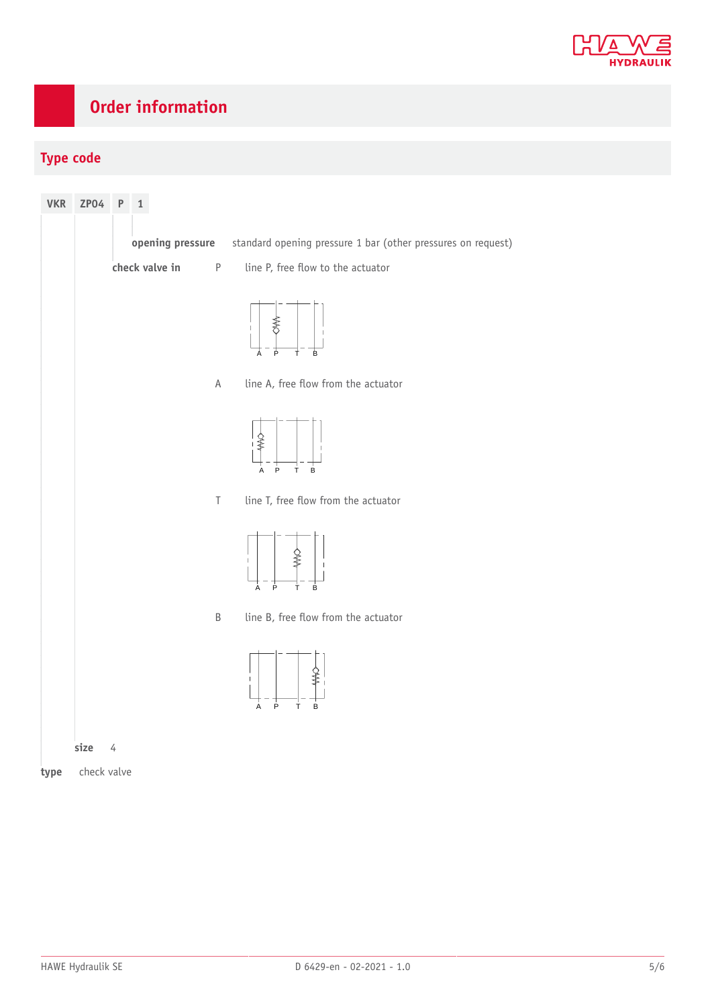

## <span id="page-4-0"></span>**Order information**

### **Type code**

| <b>VKR</b> | ZPO4        | ${\sf P}$ | 1                         |                                                              |
|------------|-------------|-----------|---------------------------|--------------------------------------------------------------|
|            |             |           | opening pressure          | standard opening pressure 1 bar (other pressures on request) |
|            |             |           | check valve in<br>$\sf P$ | line P, free flow to the actuator                            |
|            |             |           |                           | ≸<br>þ<br>Ť<br>B<br>Α                                        |
|            |             |           | $\mathsf A$               | line A, free flow from the actuator                          |
|            |             |           |                           | ≸<br>P<br>$\sf B$<br>A<br>T                                  |
|            |             |           | $\top$                    | line T, free flow from the actuator                          |
|            |             |           |                           | $\mathbf{I}$<br>þ<br>B<br>À<br>т                             |
|            |             |           | $\sf B$                   | line B, free flow from the actuator                          |
|            |             |           |                           | $\mathbf{I}$<br>$\overline{P}$<br>B<br>A<br>T.               |
|            | size        | 4         |                           |                                                              |
| type       | check valve |           |                           |                                                              |